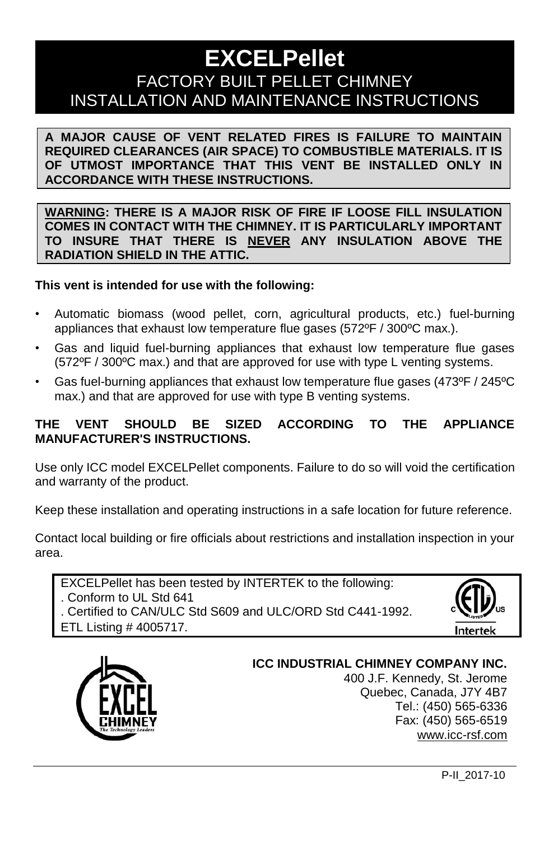# **EXCELPellet** FACTORY BUILT PELLET CHIMNEY INSTALLATION AND MAINTENANCE INSTRUCTIONS

**A MAJOR CAUSE OF VENT RELATED FIRES IS FAILURE TO MAINTAIN REQUIRED CLEARANCES (AIR SPACE) TO COMBUSTIBLE MATERIALS. IT IS OF UTMOST IMPORTANCE THAT THIS VENT BE INSTALLED ONLY IN ACCORDANCE WITH THESE INSTRUCTIONS.**

**WARNING: THERE IS A MAJOR RISK OF FIRE IF LOOSE FILL INSULATION COMES IN CONTACT WITH THE CHIMNEY. IT IS PARTICULARLY IMPORTANT TO INSURE THAT THERE IS NEVER ANY INSULATION ABOVE THE RADIATION SHIELD IN THE ATTIC.**

#### **This vent is intended for use with the following:**

- Automatic biomass (wood pellet, corn, agricultural products, etc.) fuel-burning appliances that exhaust low temperature flue gases (572ºF / 300ºC max.).
- Gas and liquid fuel-burning appliances that exhaust low temperature flue gases (572ºF / 300ºC max.) and that are approved for use with type L venting systems.
- Gas fuel-burning appliances that exhaust low temperature flue gases (473ºF / 245ºC max.) and that are approved for use with type B venting systems.

#### **THE VENT SHOULD BE SIZED ACCORDING TO THE APPLIANCE MANUFACTURER'S INSTRUCTIONS.**

Use only ICC model EXCELPellet components. Failure to do so will void the certification and warranty of the product.

Keep these installation and operating instructions in a safe location for future reference.

Contact local building or fire officials about restrictions and installation inspection in your area.

EXCELPellet has been tested by INTERTEK to the following: . Conform to UL Std 641 . Certified to CAN/ULC Std S609 and ULC/ORD Std C441-1992. ETL Listing # 4005717.





#### **ICC INDUSTRIAL CHIMNEY COMPANY INC.** 400 J.F. Kennedy, St. Jerome Quebec, Canada, J7Y 4B7 Tel.: (450) 565-6336 Fax: (450) 565-6519 [www.icc-rsf.com](http://www.icc-rsf.com/)

P-II\_2017-10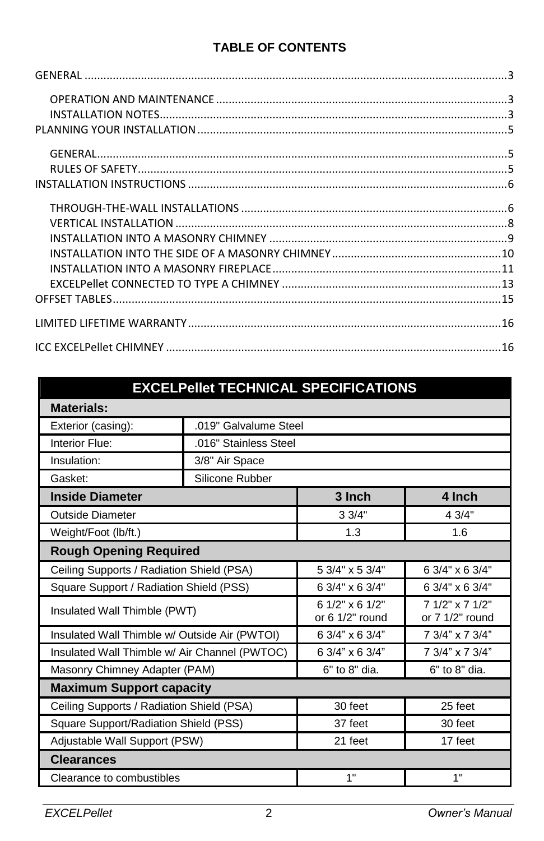#### **TABLE OF CONTENTS**

## **EXCELPellet TECHNICAL SPECIFICATIONS**

| <b>Materials:</b>                             |                       |                                          |                                      |  |
|-----------------------------------------------|-----------------------|------------------------------------------|--------------------------------------|--|
| Exterior (casing):                            | .019" Galvalume Steel |                                          |                                      |  |
| Interior Flue:                                | .016" Stainless Steel |                                          |                                      |  |
| Insulation:                                   | 3/8" Air Space        |                                          |                                      |  |
| Gasket:                                       | Silicone Rubber       |                                          |                                      |  |
| <b>Inside Diameter</b>                        |                       | 3 Inch                                   | 4 Inch                               |  |
| <b>Outside Diameter</b>                       |                       | 3.3/4"                                   | 4.3/4"                               |  |
| Weight/Foot (lb/ft.)                          |                       |                                          | 1.6                                  |  |
| <b>Rough Opening Required</b>                 |                       |                                          |                                      |  |
| Ceiling Supports / Radiation Shield (PSA)     |                       | 5 3/4" x 5 3/4"                          | 6 3/4" x 6 3/4"                      |  |
| Square Support / Radiation Shield (PSS)       |                       | 6 3/4" x 6 3/4"                          | 6 3/4" x 6 3/4"                      |  |
| Insulated Wall Thimble (PWT)                  |                       | $61/2$ " x 6 $1/2$ "<br>or $61/2"$ round | 7 1/2" x 7 1/2"<br>or $71/2$ " round |  |
| Insulated Wall Thimble w/ Outside Air (PWTOI) |                       | 6 3/4" x 6 3/4"                          | 7 3/4" x 7 3/4"                      |  |
| Insulated Wall Thimble w/ Air Channel (PWTOC) |                       | 6 3/4" x 6 3/4"                          | 7 3/4" x 7 3/4"                      |  |
| Masonry Chimney Adapter (PAM)                 |                       | 6" to 8" dia.                            | 6" to 8" dia.                        |  |
| <b>Maximum Support capacity</b>               |                       |                                          |                                      |  |
| Ceiling Supports / Radiation Shield (PSA)     |                       | 30 feet                                  | 25 feet                              |  |
| Square Support/Radiation Shield (PSS)         |                       | 37 feet                                  | 30 feet                              |  |
| Adjustable Wall Support (PSW)                 |                       | 21 feet                                  | 17 feet                              |  |
| <b>Clearances</b>                             |                       |                                          |                                      |  |
| Clearance to combustibles                     |                       | 1"                                       | 1"                                   |  |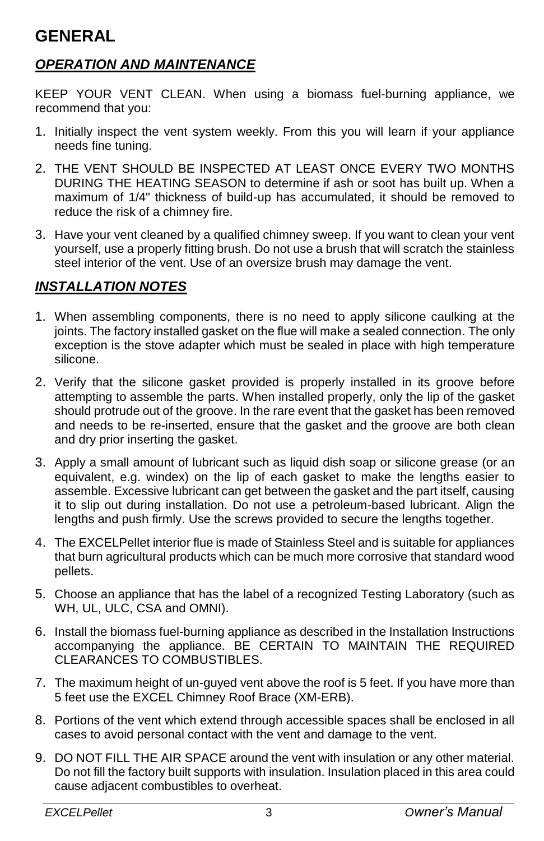# <span id="page-2-0"></span>**GENERAL**

#### <span id="page-2-1"></span>*OPERATION AND MAINTENANCE*

KEEP YOUR VENT CLEAN. When using a biomass fuel-burning appliance, we recommend that you:

- 1. Initially inspect the vent system weekly. From this you will learn if your appliance needs fine tuning.
- 2. THE VENT SHOULD BE INSPECTED AT LEAST ONCE EVERY TWO MONTHS DURING THE HEATING SEASON to determine if ash or soot has built up. When a maximum of 1/4" thickness of build-up has accumulated, it should be removed to reduce the risk of a chimney fire.
- 3. Have your vent cleaned by a qualified chimney sweep. If you want to clean your vent yourself, use a properly fitting brush. Do not use a brush that will scratch the stainless steel interior of the vent. Use of an oversize brush may damage the vent.

#### <span id="page-2-2"></span>*INSTALLATION NOTES*

- 1. When assembling components, there is no need to apply silicone caulking at the joints. The factory installed gasket on the flue will make a sealed connection. The only exception is the stove adapter which must be sealed in place with high temperature silicone.
- 2. Verify that the silicone gasket provided is properly installed in its groove before attempting to assemble the parts. When installed properly, only the lip of the gasket should protrude out of the groove. In the rare event that the gasket has been removed and needs to be re-inserted, ensure that the gasket and the groove are both clean and dry prior inserting the gasket.
- 3. Apply a small amount of lubricant such as liquid dish soap or silicone grease (or an equivalent, e.g. windex) on the lip of each gasket to make the lengths easier to assemble. Excessive lubricant can get between the gasket and the part itself, causing it to slip out during installation. Do not use a petroleum-based lubricant. Align the lengths and push firmly. Use the screws provided to secure the lengths together.
- 4. The EXCELPellet interior flue is made of Stainless Steel and is suitable for appliances that burn agricultural products which can be much more corrosive that standard wood pellets.
- 5. Choose an appliance that has the label of a recognized Testing Laboratory (such as WH, UL, ULC, CSA and OMNI).
- 6. Install the biomass fuel-burning appliance as described in the Installation Instructions accompanying the appliance. BE CERTAIN TO MAINTAIN THE REQUIRED CLEARANCES TO COMBUSTIBLES.
- 7. The maximum height of un-guyed vent above the roof is 5 feet. If you have more than 5 feet use the EXCEL Chimney Roof Brace (XM-ERB).
- 8. Portions of the vent which extend through accessible spaces shall be enclosed in all cases to avoid personal contact with the vent and damage to the vent.
- 9. DO NOT FILL THE AIR SPACE around the vent with insulation or any other material. Do not fill the factory built supports with insulation. Insulation placed in this area could cause adjacent combustibles to overheat.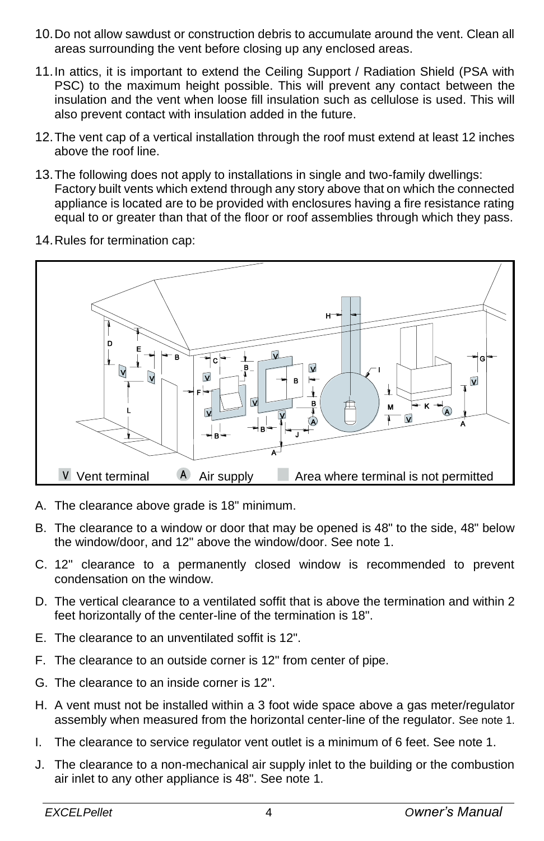- 10.Do not allow sawdust or construction debris to accumulate around the vent. Clean all areas surrounding the vent before closing up any enclosed areas.
- 11.In attics, it is important to extend the Ceiling Support / Radiation Shield (PSA with PSC) to the maximum height possible. This will prevent any contact between the insulation and the vent when loose fill insulation such as cellulose is used. This will also prevent contact with insulation added in the future.
- 12.The vent cap of a vertical installation through the roof must extend at least 12 inches above the roof line.
- 13.The following does not apply to installations in single and two-family dwellings: Factory built vents which extend through any story above that on which the connected appliance is located are to be provided with enclosures having a fire resistance rating equal to or greater than that of the floor or roof assemblies through which they pass.
- 14.Rules for termination cap:



- A. The clearance above grade is 18" minimum.
- B. The clearance to a window or door that may be opened is 48" to the side, 48" below the window/door, and 12" above the window/door. See note 1.
- C. 12" clearance to a permanently closed window is recommended to prevent condensation on the window.
- D. The vertical clearance to a ventilated soffit that is above the termination and within 2 feet horizontally of the center-line of the termination is 18".
- E. The clearance to an unventilated soffit is 12".
- F. The clearance to an outside corner is 12" from center of pipe.
- G. The clearance to an inside corner is 12".
- H. A vent must not be installed within a 3 foot wide space above a gas meter/regulator assembly when measured from the horizontal center-line of the regulator. See note 1.
- I. The clearance to service regulator vent outlet is a minimum of 6 feet. See note 1.
- J. The clearance to a non-mechanical air supply inlet to the building or the combustion air inlet to any other appliance is 48". See note 1.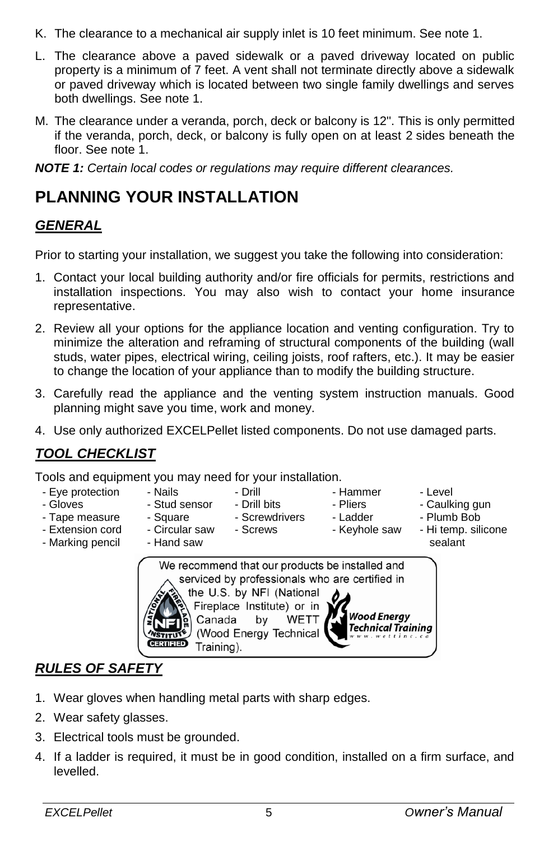- K. The clearance to a mechanical air supply inlet is 10 feet minimum. See note 1.
- L. The clearance above a paved sidewalk or a paved driveway located on public property is a minimum of 7 feet. A vent shall not terminate directly above a sidewalk or paved driveway which is located between two single family dwellings and serves both dwellings. See note 1.
- M. The clearance under a veranda, porch, deck or balcony is 12''. This is only permitted if the veranda, porch, deck, or balcony is fully open on at least 2 sides beneath the floor. See note 1.

*NOTE 1: Certain local codes or regulations may require different clearances.*

# <span id="page-4-0"></span>**PLANNING YOUR INSTALLATION**

#### <span id="page-4-1"></span>*GENERAL*

Prior to starting your installation, we suggest you take the following into consideration:

- 1. Contact your local building authority and/or fire officials for permits, restrictions and installation inspections. You may also wish to contact your home insurance representative.
- 2. Review all your options for the appliance location and venting configuration. Try to minimize the alteration and reframing of structural components of the building (wall studs, water pipes, electrical wiring, ceiling joists, roof rafters, etc.). It may be easier to change the location of your appliance than to modify the building structure.
- 3. Carefully read the appliance and the venting system instruction manuals. Good planning might save you time, work and money.
- 4. Use only authorized EXCELPellet listed components. Do not use damaged parts.

## *TOOL CHECKLIST*

Tools and equipment you may need for your installation.

- Eye protection
- Gloves - Tape measure
- 
- Nails - Stud sensor
	- Square
		- Screwdrivers - Screws

- Drill - Drill bits

- Pliers
- Hammer - Ladder
- Caulking gun
	- Plumb Bob

- Level

- Circular saw
- Extension cord - Marking pencil
- Hand saw
- Keyhole saw
	- Hi temp. silicone sealant



## <span id="page-4-2"></span>*RULES OF SAFETY*

- 1. Wear gloves when handling metal parts with sharp edges.
- 2. Wear safety glasses.
- 3. Electrical tools must be grounded.
- 4. If a ladder is required, it must be in good condition, installed on a firm surface, and levelled.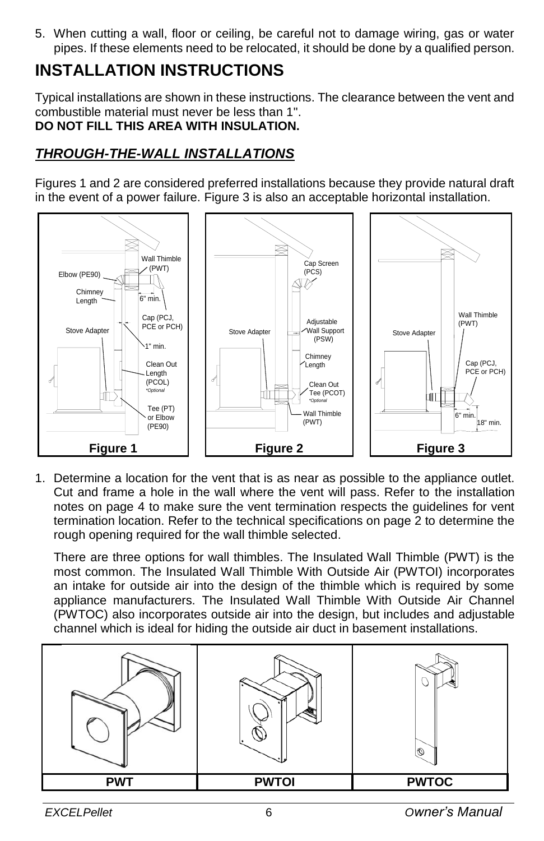5. When cutting a wall, floor or ceiling, be careful not to damage wiring, gas or water pipes. If these elements need to be relocated, it should be done by a qualified person.

# <span id="page-5-0"></span>**INSTALLATION INSTRUCTIONS**

Typical installations are shown in these instructions. The clearance between the vent and combustible material must never be less than 1''. **DO NOT FILL THIS AREA WITH INSULATION.**

#### <span id="page-5-1"></span>*THROUGH-THE-WALL INSTALLATIONS*

Figures 1 and 2 are considered preferred installations because they provide natural draft in the event of a power failure. Figure 3 is also an acceptable horizontal installation.



1. Determine a location for the vent that is as near as possible to the appliance outlet. Cut and frame a hole in the wall where the vent will pass. Refer to the installation notes on page 4 to make sure the vent termination respects the guidelines for vent termination location. Refer to the technical specifications on page 2 to determine the rough opening required for the wall thimble selected.

There are three options for wall thimbles. The Insulated Wall Thimble (PWT) is the most common. The Insulated Wall Thimble With Outside Air (PWTOI) incorporates an intake for outside air into the design of the thimble which is required by some appliance manufacturers. The Insulated Wall Thimble With Outside Air Channel (PWTOC) also incorporates outside air into the design, but includes and adjustable channel which is ideal for hiding the outside air duct in basement installations.

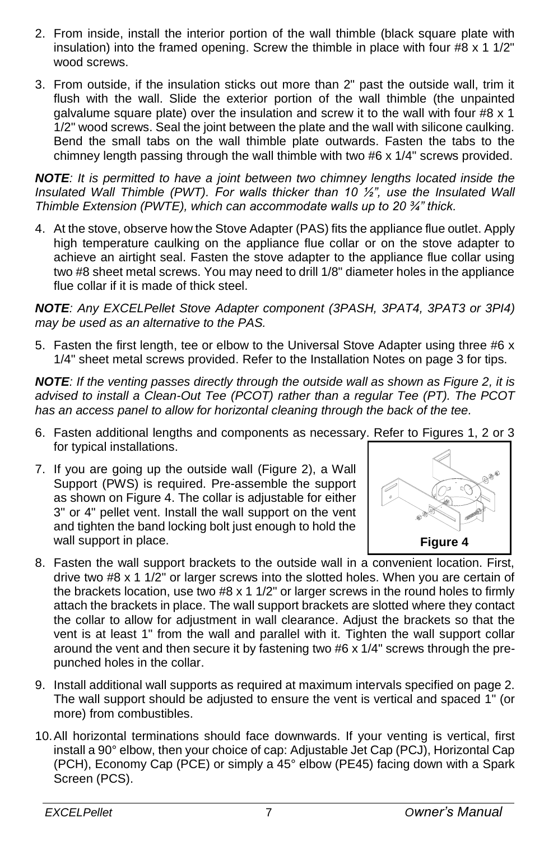- 2. From inside, install the interior portion of the wall thimble (black square plate with insulation) into the framed opening. Screw the thimble in place with four  $#8 \times 1 \frac{1}{2}$ " wood screws.
- 3. From outside, if the insulation sticks out more than 2" past the outside wall, trim it flush with the wall. Slide the exterior portion of the wall thimble (the unpainted galvalume square plate) over the insulation and screw it to the wall with four #8  $\times$  1 1/2" wood screws. Seal the joint between the plate and the wall with silicone caulking. Bend the small tabs on the wall thimble plate outwards. Fasten the tabs to the chimney length passing through the wall thimble with two #6 x 1/4" screws provided.

*NOTE: It is permitted to have a joint between two chimney lengths located inside the Insulated Wall Thimble (PWT). For walls thicker than 10 ½", use the Insulated Wall Thimble Extension (PWTE), which can accommodate walls up to 20 ¾" thick.*

4. At the stove, observe how the Stove Adapter (PAS) fits the appliance flue outlet. Apply high temperature caulking on the appliance flue collar or on the stove adapter to achieve an airtight seal. Fasten the stove adapter to the appliance flue collar using two #8 sheet metal screws. You may need to drill 1/8" diameter holes in the appliance flue collar if it is made of thick steel.

*NOTE: Any EXCELPellet Stove Adapter component (3PASH, 3PAT4, 3PAT3 or 3PI4) may be used as an alternative to the PAS.*

5. Fasten the first length, tee or elbow to the Universal Stove Adapter using three  $#6 x$ 1/4" sheet metal screws provided. Refer to the Installation Notes on page 3 for tips.

*NOTE: If the venting passes directly through the outside wall as shown as Figure 2, it is advised to install a Clean-Out Tee (PCOT) rather than a regular Tee (PT). The PCOT has an access panel to allow for horizontal cleaning through the back of the tee.*

- 6. Fasten additional lengths and components as necessary. Refer to Figures 1, 2 or 3 for typical installations.
- 7. If you are going up the outside wall (Figure 2), a Wall Support (PWS) is required. Pre-assemble the support as shown on Figure 4. The collar is adjustable for either 3" or 4" pellet vent. Install the wall support on the vent and tighten the band locking bolt just enough to hold the wall support in place.



- 8. Fasten the wall support brackets to the outside wall in a convenient location. First, drive two  $#8 \times 1$  1/2" or larger screws into the slotted holes. When you are certain of the brackets location, use two  $#8 \times 1 \frac{1}{2}$  or larger screws in the round holes to firmly attach the brackets in place. The wall support brackets are slotted where they contact the collar to allow for adjustment in wall clearance. Adjust the brackets so that the vent is at least 1" from the wall and parallel with it. Tighten the wall support collar around the vent and then secure it by fastening two  $#6 \times 1/4"$  screws through the prepunched holes in the collar.
- 9. Install additional wall supports as required at maximum intervals specified on page 2. The wall support should be adjusted to ensure the vent is vertical and spaced 1" (or more) from combustibles.
- 10.All horizontal terminations should face downwards. If your venting is vertical, first install a 90° elbow, then your choice of cap: Adjustable Jet Cap (PCJ), Horizontal Cap (PCH), Economy Cap (PCE) or simply a 45° elbow (PE45) facing down with a Spark Screen (PCS).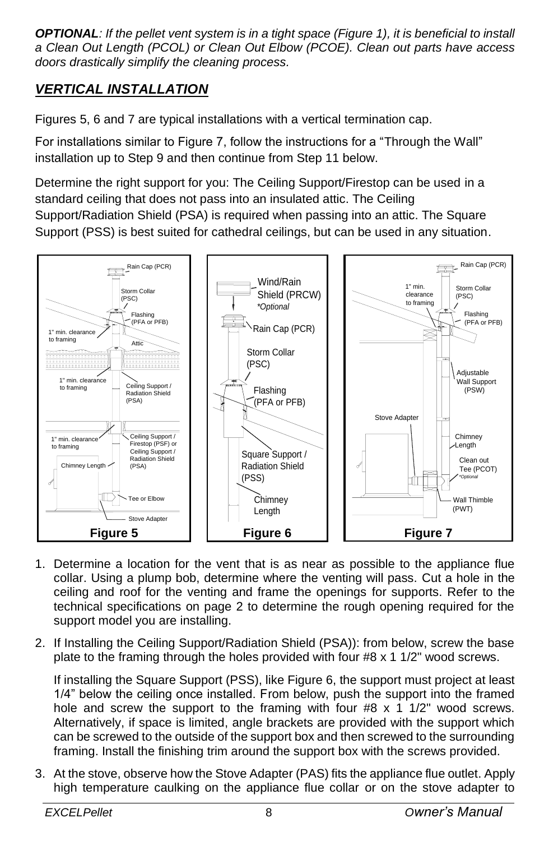*OPTIONAL: If the pellet vent system is in a tight space (Figure 1), it is beneficial to install a Clean Out Length (PCOL) or Clean Out Elbow (PCOE). Clean out parts have access doors drastically simplify the cleaning process.*

## <span id="page-7-0"></span>*VERTICAL INSTALLATION*

Figures 5, 6 and 7 are typical installations with a vertical termination cap.

For installations similar to Figure 7, follow the instructions for a "Through the Wall" installation up to Step 9 and then continue from Step 11 below.

Determine the right support for you: The Ceiling Support/Firestop can be used in a standard ceiling that does not pass into an insulated attic. The Ceiling Support/Radiation Shield (PSA) is required when passing into an attic. The Square Support (PSS) is best suited for cathedral ceilings, but can be used in any situation.



- 1. Determine a location for the vent that is as near as possible to the appliance flue collar. Using a plump bob, determine where the venting will pass. Cut a hole in the ceiling and roof for the venting and frame the openings for supports. Refer to the technical specifications on page 2 to determine the rough opening required for the support model you are installing.
- 2. If Installing the Ceiling Support/Radiation Shield (PSA)): from below, screw the base plate to the framing through the holes provided with four #8 x 1 1/2" wood screws.

If installing the Square Support (PSS), like Figure 6, the support must project at least 1/4" below the ceiling once installed. From below, push the support into the framed hole and screw the support to the framing with four  $#8 \times 1$  1/2" wood screws. Alternatively, if space is limited, angle brackets are provided with the support which can be screwed to the outside of the support box and then screwed to the surrounding framing. Install the finishing trim around the support box with the screws provided.

3. At the stove, observe how the Stove Adapter (PAS) fits the appliance flue outlet. Apply high temperature caulking on the appliance flue collar or on the stove adapter to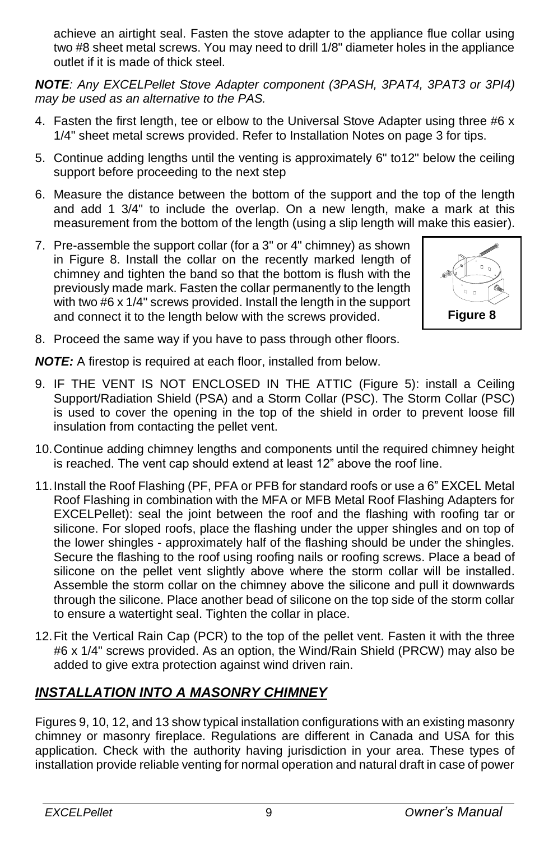achieve an airtight seal. Fasten the stove adapter to the appliance flue collar using two #8 sheet metal screws. You may need to drill 1/8" diameter holes in the appliance outlet if it is made of thick steel.

*NOTE: Any EXCELPellet Stove Adapter component (3PASH, 3PAT4, 3PAT3 or 3PI4) may be used as an alternative to the PAS.*

- 4. Fasten the first length, tee or elbow to the Universal Stove Adapter using three  $#6 x$ 1/4" sheet metal screws provided. Refer to Installation Notes on page 3 for tips.
- 5. Continue adding lengths until the venting is approximately 6" to12" below the ceiling support before proceeding to the next step
- 6. Measure the distance between the bottom of the support and the top of the length and add 1 3/4" to include the overlap. On a new length, make a mark at this measurement from the bottom of the length (using a slip length will make this easier).
- 7. Pre-assemble the support collar (for a 3" or 4" chimney) as shown in Figure 8. Install the collar on the recently marked length of chimney and tighten the band so that the bottom is flush with the previously made mark. Fasten the collar permanently to the length with two #6 x 1/4" screws provided. Install the length in the support and connect it to the length below with the screws provided.



8. Proceed the same way if you have to pass through other floors.

*NOTE:* A firestop is required at each floor, installed from below.

- 9. IF THE VENT IS NOT ENCLOSED IN THE ATTIC (Figure 5): install a Ceiling Support/Radiation Shield (PSA) and a Storm Collar (PSC). The Storm Collar (PSC) is used to cover the opening in the top of the shield in order to prevent loose fill insulation from contacting the pellet vent.
- 10.Continue adding chimney lengths and components until the required chimney height is reached. The vent cap should extend at least 12" above the roof line.
- 11.Install the Roof Flashing (PF, PFA or PFB for standard roofs or use a 6" EXCEL Metal Roof Flashing in combination with the MFA or MFB Metal Roof Flashing Adapters for EXCELPellet): seal the joint between the roof and the flashing with roofing tar or silicone. For sloped roofs, place the flashing under the upper shingles and on top of the lower shingles - approximately half of the flashing should be under the shingles. Secure the flashing to the roof using roofing nails or roofing screws. Place a bead of silicone on the pellet vent slightly above where the storm collar will be installed. Assemble the storm collar on the chimney above the silicone and pull it downwards through the silicone. Place another bead of silicone on the top side of the storm collar to ensure a watertight seal. Tighten the collar in place.
- 12.Fit the Vertical Rain Cap (PCR) to the top of the pellet vent. Fasten it with the three #6 x 1/4" screws provided. As an option, the Wind/Rain Shield (PRCW) may also be added to give extra protection against wind driven rain.

## <span id="page-8-0"></span>*INSTALLATION INTO A MASONRY CHIMNEY*

Figures 9, 10, 12, and 13 show typical installation configurations with an existing masonry chimney or masonry fireplace. Regulations are different in Canada and USA for this application. Check with the authority having jurisdiction in your area. These types of installation provide reliable venting for normal operation and natural draft in case of power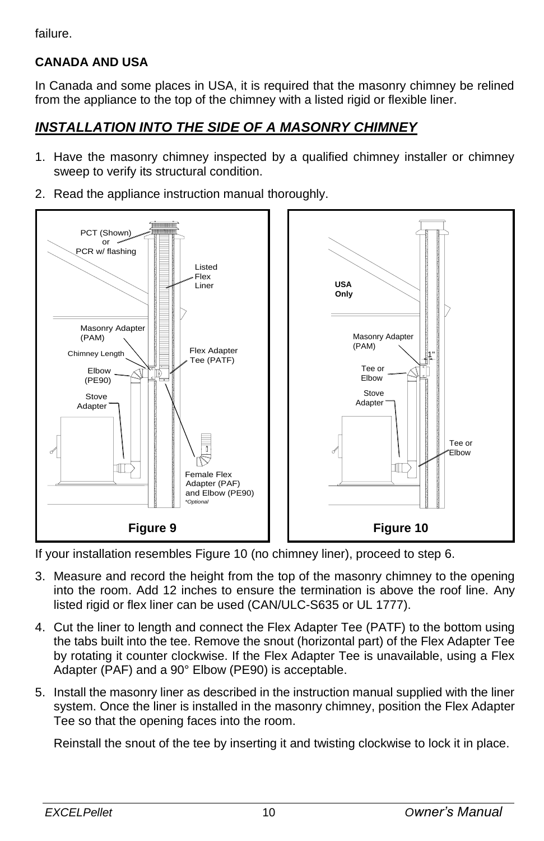failure.

#### **CANADA AND USA**

In Canada and some places in USA, it is required that the masonry chimney be relined from the appliance to the top of the chimney with a listed rigid or flexible liner.

## <span id="page-9-0"></span>*INSTALLATION INTO THE SIDE OF A MASONRY CHIMNEY*

- 1. Have the masonry chimney inspected by a qualified chimney installer or chimney sweep to verify its structural condition.
- 2. Read the appliance instruction manual thoroughly.



If your installation resembles Figure 10 (no chimney liner), proceed to step 6.

- 3. Measure and record the height from the top of the masonry chimney to the opening into the room. Add 12 inches to ensure the termination is above the roof line. Any listed rigid or flex liner can be used (CAN/ULC-S635 or UL 1777).
- 4. Cut the liner to length and connect the Flex Adapter Tee (PATF) to the bottom using the tabs built into the tee. Remove the snout (horizontal part) of the Flex Adapter Tee by rotating it counter clockwise. If the Flex Adapter Tee is unavailable, using a Flex Adapter (PAF) and a 90° Elbow (PE90) is acceptable.
- 5. Install the masonry liner as described in the instruction manual supplied with the liner system. Once the liner is installed in the masonry chimney, position the Flex Adapter Tee so that the opening faces into the room.

Reinstall the snout of the tee by inserting it and twisting clockwise to lock it in place.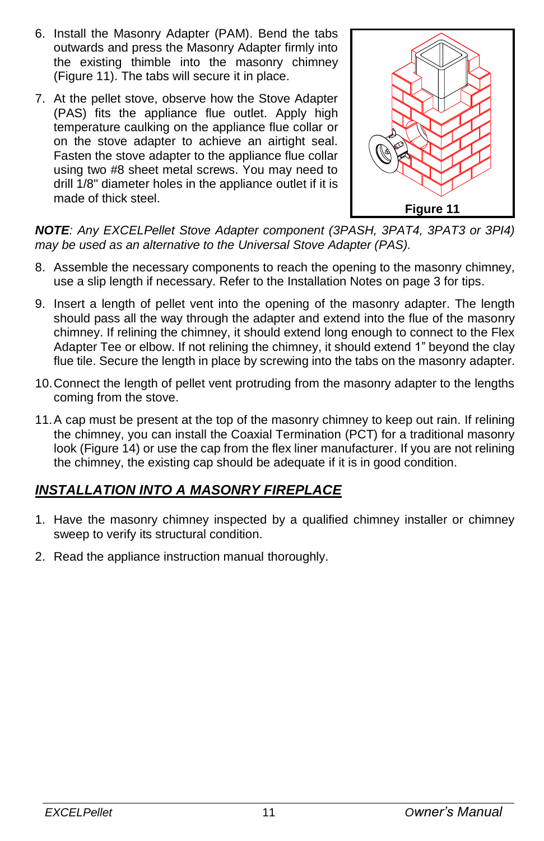- 6. Install the Masonry Adapter (PAM). Bend the tabs outwards and press the Masonry Adapter firmly into the existing thimble into the masonry chimney (Figure 11). The tabs will secure it in place.
- 7. At the pellet stove, observe how the Stove Adapter (PAS) fits the appliance flue outlet. Apply high temperature caulking on the appliance flue collar or on the stove adapter to achieve an airtight seal. Fasten the stove adapter to the appliance flue collar using two #8 sheet metal screws. You may need to drill 1/8" diameter holes in the appliance outlet if it is made of thick steel.



*NOTE: Any EXCELPellet Stove Adapter component (3PASH, 3PAT4, 3PAT3 or 3PI4) may be used as an alternative to the Universal Stove Adapter (PAS).*

- 8. Assemble the necessary components to reach the opening to the masonry chimney, use a slip length if necessary. Refer to the Installation Notes on page 3 for tips.
- 9. Insert a length of pellet vent into the opening of the masonry adapter. The length should pass all the way through the adapter and extend into the flue of the masonry chimney. If relining the chimney, it should extend long enough to connect to the Flex Adapter Tee or elbow. If not relining the chimney, it should extend 1" beyond the clay flue tile. Secure the length in place by screwing into the tabs on the masonry adapter.
- 10.Connect the length of pellet vent protruding from the masonry adapter to the lengths coming from the stove.
- 11.A cap must be present at the top of the masonry chimney to keep out rain. If relining the chimney, you can install the Coaxial Termination (PCT) for a traditional masonry look (Figure 14) or use the cap from the flex liner manufacturer. If you are not relining the chimney, the existing cap should be adequate if it is in good condition.

## <span id="page-10-0"></span>*INSTALLATION INTO A MASONRY FIREPLACE*

- 1. Have the masonry chimney inspected by a qualified chimney installer or chimney sweep to verify its structural condition.
- 2. Read the appliance instruction manual thoroughly.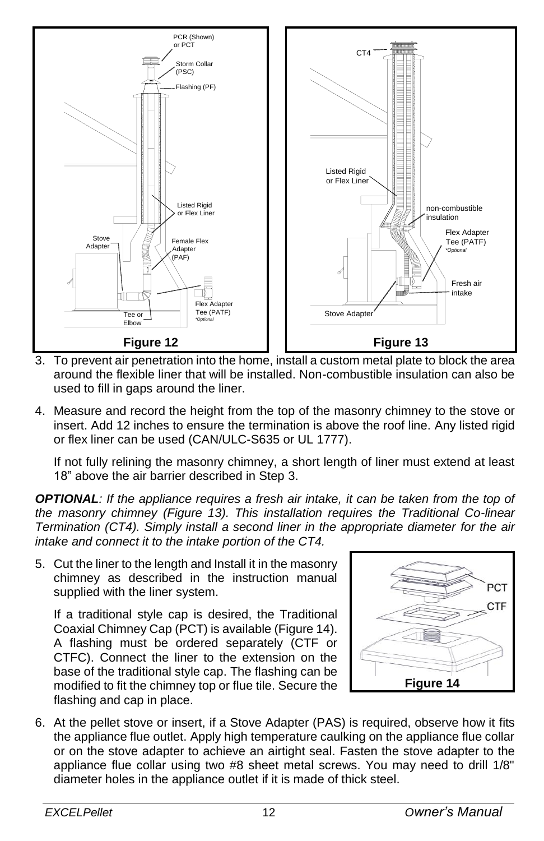

- 3. To prevent air penetration into the home, install a custom metal plate to block the area around the flexible liner that will be installed. Non-combustible insulation can also be used to fill in gaps around the liner.
- 4. Measure and record the height from the top of the masonry chimney to the stove or insert. Add 12 inches to ensure the termination is above the roof line. Any listed rigid or flex liner can be used (CAN/ULC-S635 or UL 1777).

If not fully relining the masonry chimney, a short length of liner must extend at least 18" above the air barrier described in Step 3.

*OPTIONAL: If the appliance requires a fresh air intake, it can be taken from the top of the masonry chimney (Figure 13). This installation requires the Traditional Co-linear Termination (CT4). Simply install a second liner in the appropriate diameter for the air intake and connect it to the intake portion of the CT4.*

5. Cut the liner to the length and Install it in the masonry chimney as described in the instruction manual supplied with the liner system.

If a traditional style cap is desired, the Traditional Coaxial Chimney Cap (PCT) is available (Figure 14). A flashing must be ordered separately (CTF or CTFC). Connect the liner to the extension on the base of the traditional style cap. The flashing can be modified to fit the chimney top or flue tile. Secure the flashing and cap in place.



6. At the pellet stove or insert, if a Stove Adapter (PAS) is required, observe how it fits the appliance flue outlet. Apply high temperature caulking on the appliance flue collar or on the stove adapter to achieve an airtight seal. Fasten the stove adapter to the appliance flue collar using two #8 sheet metal screws. You may need to drill 1/8" diameter holes in the appliance outlet if it is made of thick steel.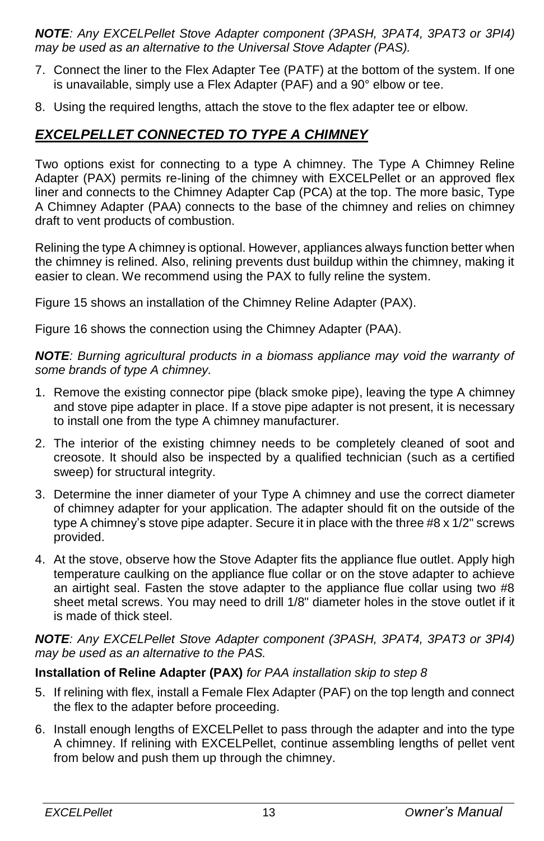*NOTE: Any EXCELPellet Stove Adapter component (3PASH, 3PAT4, 3PAT3 or 3PI4) may be used as an alternative to the Universal Stove Adapter (PAS).*

- 7. Connect the liner to the Flex Adapter Tee (PATF) at the bottom of the system. If one is unavailable, simply use a Flex Adapter (PAF) and a 90° elbow or tee.
- 8. Using the required lengths, attach the stove to the flex adapter tee or elbow.

#### <span id="page-12-0"></span>*EXCELPELLET CONNECTED TO TYPE A CHIMNEY*

Two options exist for connecting to a type A chimney. The Type A Chimney Reline Adapter (PAX) permits re-lining of the chimney with EXCELPellet or an approved flex liner and connects to the Chimney Adapter Cap (PCA) at the top. The more basic, Type A Chimney Adapter (PAA) connects to the base of the chimney and relies on chimney draft to vent products of combustion.

Relining the type A chimney is optional. However, appliances always function better when the chimney is relined. Also, relining prevents dust buildup within the chimney, making it easier to clean. We recommend using the PAX to fully reline the system.

Figure 15 shows an installation of the Chimney Reline Adapter (PAX).

Figure 16 shows the connection using the Chimney Adapter (PAA).

*NOTE: Burning agricultural products in a biomass appliance may void the warranty of some brands of type A chimney.*

- 1. Remove the existing connector pipe (black smoke pipe), leaving the type A chimney and stove pipe adapter in place. If a stove pipe adapter is not present, it is necessary to install one from the type A chimney manufacturer.
- 2. The interior of the existing chimney needs to be completely cleaned of soot and creosote. It should also be inspected by a qualified technician (such as a certified sweep) for structural integrity.
- 3. Determine the inner diameter of your Type A chimney and use the correct diameter of chimney adapter for your application. The adapter should fit on the outside of the type A chimney's stove pipe adapter. Secure it in place with the three  $#8 \times 1/2"$  screws provided.
- 4. At the stove, observe how the Stove Adapter fits the appliance flue outlet. Apply high temperature caulking on the appliance flue collar or on the stove adapter to achieve an airtight seal. Fasten the stove adapter to the appliance flue collar using two #8 sheet metal screws. You may need to drill 1/8" diameter holes in the stove outlet if it is made of thick steel.

*NOTE: Any EXCELPellet Stove Adapter component (3PASH, 3PAT4, 3PAT3 or 3PI4) may be used as an alternative to the PAS.*

#### **Installation of Reline Adapter (PAX)** *for PAA installation skip to step 8*

- 5. If relining with flex, install a Female Flex Adapter (PAF) on the top length and connect the flex to the adapter before proceeding.
- 6. Install enough lengths of EXCELPellet to pass through the adapter and into the type A chimney. If relining with EXCELPellet, continue assembling lengths of pellet vent from below and push them up through the chimney.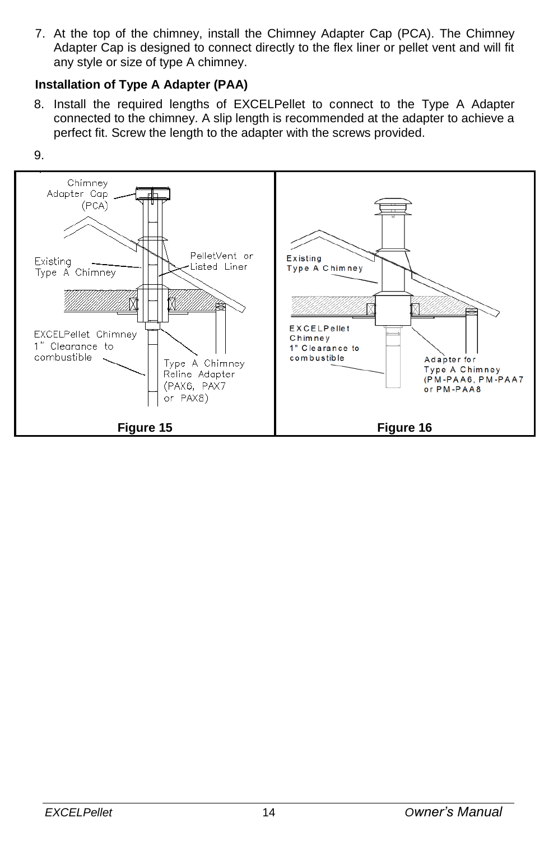7. At the top of the chimney, install the Chimney Adapter Cap (PCA). The Chimney Adapter Cap is designed to connect directly to the flex liner or pellet vent and will fit any style or size of type A chimney.

#### **Installation of Type A Adapter (PAA)**

8. Install the required lengths of EXCELPellet to connect to the Type A Adapter connected to the chimney. A slip length is recommended at the adapter to achieve a perfect fit. Screw the length to the adapter with the screws provided.



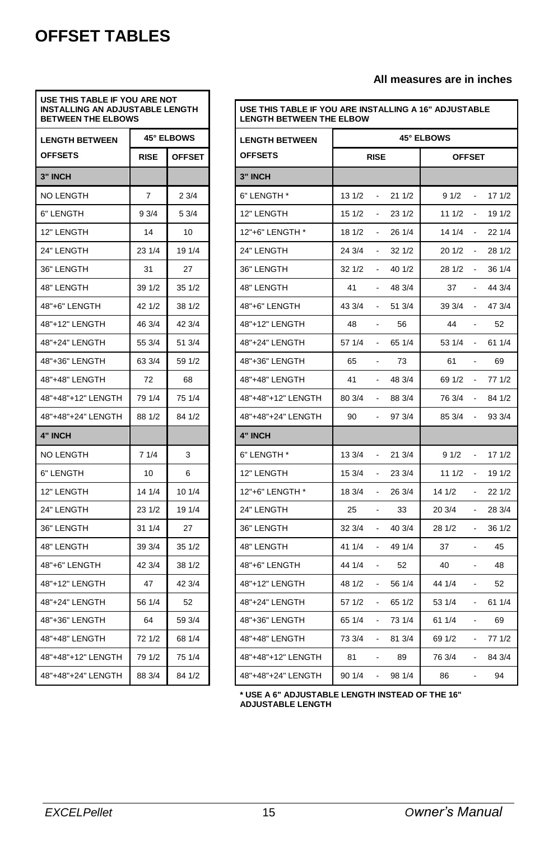# <span id="page-14-0"></span>**OFFSET TABLES**

| USE THIS TABLE IF YOU ARE NOT<br><b>INSTALLING AN ADJUSTABLE LENGTH</b><br><b>BETWEEN THE ELBOWS</b> |                   |               |  |
|------------------------------------------------------------------------------------------------------|-------------------|---------------|--|
| <b>LENGTH BETWEEN</b>                                                                                | <b>45° ELBOWS</b> |               |  |
| <b>OFFSETS</b>                                                                                       | <b>RISE</b>       | <b>OFFSET</b> |  |
| 3" INCH                                                                                              |                   |               |  |
| <b>NO LENGTH</b>                                                                                     | 7                 | 23/4          |  |
| 6" LENGTH                                                                                            | 93/4              | 5 3/4         |  |
| 12" LENGTH                                                                                           | 14                | 10            |  |
| 24" LENGTH                                                                                           | 23 1/4            | 19 1/4        |  |
| 36" LENGTH                                                                                           | 31                | 27            |  |
| 48" LENGTH                                                                                           | 39 1/2            | 35 1/2        |  |
| 48"+6" LENGTH                                                                                        | 42 1/2            | 38 1/2        |  |
| 48"+12" LENGTH                                                                                       | 46 3/4            | 42 3/4        |  |
| 48"+24" LENGTH                                                                                       | 55 3/4            | 51 3/4        |  |
| 48"+36" LENGTH                                                                                       | 63 3/4            | 59 1/2        |  |
| 48"+48" LENGTH                                                                                       | 72                | 68            |  |
| 48"+48"+12" LENGTH                                                                                   | 79 1/4            | 75 1/4        |  |
| 48"+48"+24" LENGTH                                                                                   | 88 1/2            | 84 1/2        |  |
| 4" INCH                                                                                              |                   |               |  |
| NO LENGTH                                                                                            | 7 1/4             | 3             |  |
| 6" LENGTH                                                                                            | 10                | 6             |  |
| 12" LENGTH                                                                                           | 14 1/4            | 10 1/4        |  |
| 24" LENGTH                                                                                           | 23 1/2            | 19 1/4        |  |
| 36" LENGTH                                                                                           | 31 1/4            | 27            |  |
| 48" LENGTH                                                                                           | 39 3/4            | 35 1/2        |  |
| 48"+6" LENGTH                                                                                        | 42 3/4            | 38 1/2        |  |
| 48"+12" LENGTH                                                                                       | 47                | 42 3/4        |  |
| 48"+24" LENGTH                                                                                       | 56 1/4            | 52            |  |
| 48"+36" LENGTH                                                                                       | 64                | 59 3/4        |  |
| 48"+48" LENGTH                                                                                       | 72 1/2            | 68 1/4        |  |
| 48"+48"+12" LENGTH                                                                                   | 79 1/2            | 75 1/4        |  |
| 48"+48"+24" LENGTH                                                                                   | 88 3/4            | 84 1/2        |  |

#### **All measures are in inches**

| USE THIS TABLE IF YOU ARE INSTALLING A 16" ADJUSTABLE<br><b>LENGTH BETWEEN THE ELBOW</b> |                   |                          |               |        |                                 |        |
|------------------------------------------------------------------------------------------|-------------------|--------------------------|---------------|--------|---------------------------------|--------|
| <b>LENGTH BETWEEN</b>                                                                    | <b>45° ELBOWS</b> |                          |               |        |                                 |        |
| <b>OFFSETS</b>                                                                           | <b>RISE</b>       |                          | <b>OFFSET</b> |        |                                 |        |
| 3" INCH                                                                                  |                   |                          |               |        |                                 |        |
| 6" LENGTH *                                                                              | 13 1/2            |                          | 21 1/2        | 91/2   |                                 | 17 1/2 |
| 12" LENGTH                                                                               | 15 1/2            | $\frac{1}{2}$            | 23 1/2        | 11 1/2 | $\overline{\phantom{a}}$        | 19 1/2 |
| 12"+6" LENGTH *                                                                          | 18 1/2            | $\blacksquare$           | 26 1/4        | 14 1/4 | $\overline{a}$                  | 22 1/4 |
| 24" LENGTH                                                                               | 24 3/4            | ٠                        | 32 1/2        | 20 1/2 | ٠                               | 28 1/2 |
| 36" LENGTH                                                                               | 32 1/2            | $\frac{1}{2}$            | 40 1/2        | 28 1/2 |                                 | 36 1/4 |
| 48" LENGTH                                                                               | 41                |                          | 48 3/4        | 37     |                                 | 44 3/4 |
| 48"+6" LENGTH                                                                            | 43 3/4            | $\frac{1}{2}$            | 51 3/4        | 39 3/4 |                                 | 47 3/4 |
| 48"+12" LENGTH                                                                           | 48                | $\overline{\phantom{a}}$ | 56            | 44     | $\overline{\phantom{a}}$        | 52     |
| 48"+24" LENGTH                                                                           | 57 1/4            |                          | 65 1/4        | 53 1/4 |                                 | 61 1/4 |
| 48"+36" LENGTH                                                                           | 65                | $\frac{1}{2}$            | 73            | 61     | $\frac{1}{2}$                   | 69     |
| 48"+48" LENGTH                                                                           | 41                |                          | 48 3/4        | 69 1/2 |                                 | 77 1/2 |
| 48"+48"+12" LENGTH                                                                       | 80 3/4            |                          | 88 3/4        | 76 3/4 |                                 | 84 1/2 |
| 48"+48"+24" LENGTH                                                                       | 90                | ٠                        | 97 3/4        | 85 3/4 |                                 | 93 3/4 |
| <b>4" INCH</b>                                                                           |                   |                          |               |        |                                 |        |
| 6" LENGTH *                                                                              | 13 3/4            | $\frac{1}{2}$            | 21 3/4        | 91/2   | $\overline{\phantom{a}}$        | 17 1/2 |
| 12" LENGTH                                                                               | 15 3/4            |                          | 23 3/4        | 11 1/2 | $\overline{\phantom{a}}$        | 19 1/2 |
| 12"+6" LENGTH *                                                                          | 18 3/4            | $\blacksquare$           | 26 3/4        | 14 1/2 | $\overline{\phantom{a}}$        | 22 1/2 |
| 24" LENGTH                                                                               | 25                | $\overline{\phantom{a}}$ | 33            | 20 3/4 | $\overline{\phantom{a}}$        | 28 3/4 |
| 36" LENGTH                                                                               | 32 3/4            |                          | 40 3/4        | 28 1/2 |                                 | 36 1/2 |
| 48" LENGTH                                                                               | 41 1/4            |                          | 49 1/4        | 37     |                                 | 45     |
| 48"+6" LENGTH                                                                            | 44 1/4            | $\frac{1}{2}$            | 52            | 40     | $\frac{1}{2}$                   | 48     |
| 48"+12" LENGTH                                                                           | 48 1/2            |                          | 56 1/4        | 44 1/4 |                                 | 52     |
| 48"+24" LENGTH                                                                           | 57 1/2            | ٠                        | 65 1/2        | 53 1/4 |                                 | 61 1/4 |
| 48"+36" LENGTH                                                                           | 65 1/4            | $\overline{a}$           | 73 1/4        | 61 1/4 | $\centering \label{eq:reduced}$ | 69     |
| 48"+48" LENGTH                                                                           | 73 3/4            | ÷,                       | 81 3/4        | 69 1/2 | $\frac{1}{2}$                   | 77 1/2 |
| 48"+48"+12" LENGTH                                                                       | 81                | $\overline{\phantom{a}}$ | 89            | 76 3/4 | $\overline{\phantom{a}}$        | 84 3/4 |
| 48"+48"+24" LENGTH                                                                       | 90 1/4            |                          | 98 1/4        | 86     |                                 | 94     |

**\* USE A 6" ADJUSTABLE LENGTH INSTEAD OF THE 16" ADJUSTABLE LENGTH**